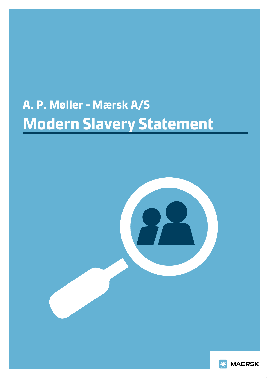# **A. P. Møller - Mærsk A/S Modern Slavery Statement**



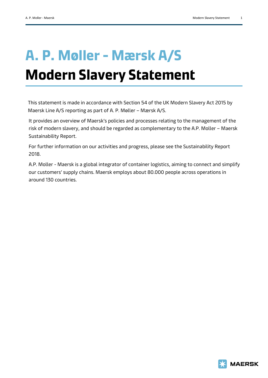# **A. P. Møller - Mærsk A/S Modern Slavery Statement**

This statement is made in accordance with Section 54 of the UK Modern Slavery Act 2015 by Maersk Line A/S reporting as part of A. P. Møller – Mærsk A/S.

It provides an overview of Maersk's policies and processes relating to the management of the risk of modern slavery, and should be regarded as complementary to the A.P. Moller – Maersk Sustainability Report.

For further information on our activities and progress, please see the Sustainability Report 2018.

A.P. Moller - Maersk is a global integrator of container logistics, aiming to connect and simplify our customers' supply chains. Maersk employs about 80.000 people across operations in around 130 countries.

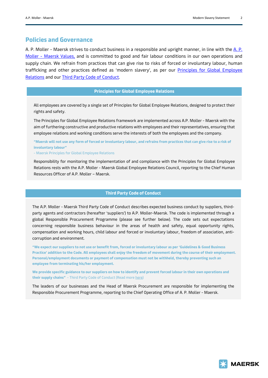## **Policies and Governance**

A. P. Moller - Maersk strives to conduct business in a responsible and upright manner, in line with the [A.](https://www.maersk.com/about/core-values) P. Moller - [Maersk Values,](https://www.maersk.com/about/core-values) and is committed to good and fair labour conditions in our own operations and supply chain. We refrain from practices that can give rise to risks of forced or involuntary labour, human trafficking and other practices defined as 'modern slavery', as per our Principles for Global Employee [Relations](https://www.maersk.com/about/sustainability/responsibility/employee-relations) and our [Third Party Code of Conduct.](https://www.maersk.com/business/sustainability/third-party-code-of-conduct)

### **Principles for Global Employee Relations**

All employees are covered by a single set of Principles for Global Employee Relations, designed to protect their rights and safety.

The Principles for Global Employee Relations framework are implemented across A.P. Moller - Maersk with the aim of furthering constructive and productive relations with employees and their representatives, ensuring that employee relations and working conditions serve the interests of both the employees and the company.

**"Maersk will not use any form of forced or involuntary labour, and refrains from practices that can give rise to a risk of involuntary labour"** 

- Maersk Principles for Global Employee Relations

Responsibility for monitoring the implementation of and compliance with the Principles for Global Employee Relations rests with the A.P. Moller - Maersk Global Employee Relations Council, reporting to the Chief Human Resources Officer of A.P. Moller – Maersk.

#### **Third Party Code of Conduct**

The A.P. Moller - Maersk Third Party Code of Conduct describes expected business conduct by suppliers, thirdparty agents and contractors (hereafter 'suppliers') to A.P. Moller-Maersk. The code is implemented through a global Responsible Procurement Programme (please see further below). The code sets out expectations concerning responsible business behaviour in the areas of health and safety, equal opportunity rights, compensation and working hours, child labour and forced or involuntary labour, freedom of association, anticorruption and environment.

**"We expect our suppliers to not use or benefit from, forced or involuntary labour as per 'Guidelines & Good Business Practice' addition to the Code. All employees shall enjoy the freedom of movement during the course of their employment. Personal/employment documents or payment of compensation must not be withheld, thereby preventing such an employee from terminating his/her employment.**

**We provide specific guidance to our suppliers on how to identify and prevent forced labour in their own operations and their supply chains"** - Third Party Code of Conduct (Read more [here\)](https://www.maersk.com/business/procurement/responsible-procurement/labour-and-human-rights/forced-labour)

The leaders of our businesses and the Head of Maersk Procurement are responsible for implementing the Responsible Procurement Programme, reporting to the Chief Operating Office of A. P. Moller - Maersk.

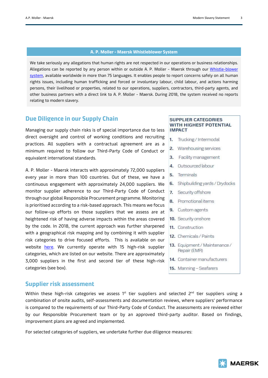#### **A. P. Moller - Maersk Whistleblower System**

We take seriously any allegations that human rights are not respected in our operations or business relationships. Allegations can be reported by any person within or outside A. P. Moller - Maersk through our Whistle-blower [system,](https://secure.ethicspoint.eu/domain/media/en/gui/102833/index.html) available worldwide in more than 75 languages. It enables people to report concerns safely on all human rights issues, including human trafficking and forced or involuntary labour, child labour, and actions harming persons, their livelihood or properties, related to our operations, suppliers, contractors, third-party agents, and other business partners with a direct link to A. P. Moller - Maersk. During 2018, the system received no reports relating to modern slavery.

## **Due Diligence in our Supply Chain**

Managing our supply chain risks is of special importance due to less direct oversight and control of working conditions and recruiting practices. All suppliers with a contractual agreement are as a minimum required to follow our Third-Party Code of Conduct or equivalent international standards.

A. P. Moller - Maersk interacts with approximately 72,000 suppliers every year in more than 100 countries. Out of these, we have a continuous engagement with approximately 24,000 suppliers. We monitor supplier adherence to our Third-Party Code of Conduct through our global Responsible Procurement programme. Monitoring is prioritised according to a risk-based approach. This means we focus our follow-up efforts on those suppliers that we assess are at heightened risk of having adverse impacts within the areas covered by the code. In 2018, the current approach was further sharpened with a geographical risk mapping and by combining it with supplier risk categories to drive focused efforts. This is available on our website [here.](https://www.maersk.com/procurement/responsible-procurement) We currently operate with 15 high-risk supplier categories, which are listed on our website. There are approximately 3,000 suppliers in the first and second tier of these high-risk categories (see box).

### **SUPPLIER CATEGORIES WITH HIGHEST POTENTIAL IMPACT**

- $1.$ Trucking / Intermodal
- 2. Warehousing services
- 3. Facility management
- 4. Outsourced labour
- 5. Terminals
- Shipbuilding yards / Drydocks 6.
- 7. Security offshore
- 8. Promotionalitems
- 9. Custom agents
- 10. Security onshore
- 11. Construction
- 12. Chemicals / Paints
- 13. Equipment / Maintenance / Repair (EMR)
- 14. Container manufacturers
- 15. Manning Seafarers

## **Supplier risk assessment**

Within these high-risk categories we assess  $1^{st}$  tier suppliers and selected  $2^{nd}$  tier suppliers using a combination of onsite audits, self-assessments and documentation reviews, where suppliers' performance is compared to the requirements of our Third-Party Code of Conduct. The assessments are reviewed either by our Responsible Procurement team or by an approved third-party auditor. Based on findings, improvement plans are agreed and implemented.

For selected categories of suppliers, we undertake further due diligence measures:

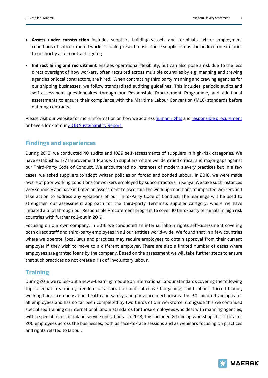- **Assets under construction** includes suppliers building vessels and terminals, where employment conditions of subcontracted workers could present a risk. These suppliers must be audited on-site prior to or shortly after contract signing.
- **Indirect hiring and recruitment** enables operational flexibility, but can also pose a risk due to the less direct oversight of how workers, often recruited across multiple countries by e.g. manning and crewing agencies or local contractors, are hired. When contracting third party manning and crewing agencies for our shipping businesses, we follow standardised auditing guidelines. This includes: periodic audits and self-assessment questionnaires through our Responsible Procurement Programme, and additional assessments to ensure their compliance with the Maritime Labour Convention (MLC) standards before entering contracts.

Please visit our website for more information on how we address [human rights](https://www.maersk.com/business/sustainability/responsibility/human-rights) and [responsible procurement](https://www.maersk.com/business/procurement/responsible-procurement) or have a look at our 2018 Sustainability Report.

## **Findings and experiences**

During 2018, we conducted 40 audits and 1029 self-assessments of suppliers in high-risk categories. We have established 177 Improvement Plans with suppliers where we identified critical and major gaps against our Third-Party Code of Conduct. We encountered no instances of modern slavery practices but in a few cases, we asked suppliers to adopt written policies on forced and bonded labour. In 2018, we were made aware of poor working conditions for workers employed by subcontractors in Kenya. We take such instances very seriously and have initiated an assessment to ascertain the working conditions of impacted workers and take action to address any violations of our Third-Party Code of Conduct. The learnings will be used to strengthen our assessment approach for the third-party Terminals supplier category, where we have initiated a pilot through our Responsible Procurement program to cover 10 third-party terminals in high risk countries with further roll-out in 2019.

Focusing on our own company, in 2018 we conducted an internal labour rights self-assessment covering both direct staff and third-party employees in all our entities world-wide. We found that in a few countries where we operate, local laws and practices may require employees to obtain approval from their current employer if they wish to move to a different employer. There are also a limited number of cases where employees are granted loans by the company. Based on the assessment we will take further steps to ensure that such practices do not create a risk of involuntary labour.

## **Training**

During 2018 we rolled-out a new e-Learning module on international labour standards covering the following topics: equal treatment; freedom of association and collective bargaining; child labour; forced labour; working hours; compensation, health and safety; and grievance mechanisms. The 30-minute training is for all employees and has so far been completed by two thirds of our workforce. Alongside this we continued specialised training on international labour standards for those employees who deal with manning agencies, with a special focus on inland service operations. In 2018, this included 8 training workshops for a total of 200 employees across the businesses, both as face-to-face sessions and as webinars focusing on practices and rights related to labour.

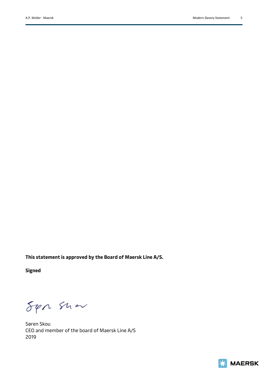**This statement is approved by the Board of Maersk Line A/S.** 

**Signed**

Sen sun

Søren Skou CEO and member of the board of Maersk Line A/S 2019